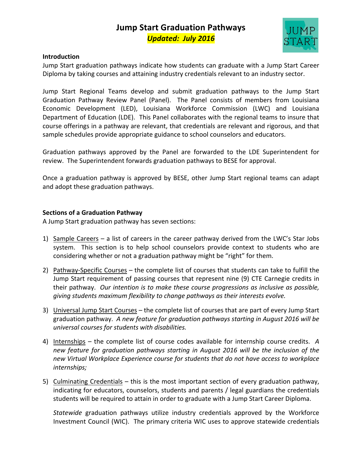## **Jump Start Graduation Pathways** *Updated: July 2016*



#### **Introduction**

Jump Start graduation pathways indicate how students can graduate with a Jump Start Career Diploma by taking courses and attaining industry credentials relevant to an industry sector.

Jump Start Regional Teams develop and submit graduation pathways to the Jump Start Graduation Pathway Review Panel (Panel). The Panel consists of members from Louisiana Economic Development (LED), Louisiana Workforce Commission (LWC) and Louisiana Department of Education (LDE). This Panel collaborates with the regional teams to insure that course offerings in a pathway are relevant, that credentials are relevant and rigorous, and that sample schedules provide appropriate guidance to school counselors and educators.

Graduation pathways approved by the Panel are forwarded to the LDE Superintendent for review. The Superintendent forwards graduation pathways to BESE for approval.

Once a graduation pathway is approved by BESE, other Jump Start regional teams can adapt and adopt these graduation pathways.

### **Sections of a Graduation Pathway**

A Jump Start graduation pathway has seven sections:

- 1) Sample Careers a list of careers in the career pathway derived from the LWC's Star Jobs system. This section is to help school counselors provide context to students who are considering whether or not a graduation pathway might be "right" for them.
- 2) Pathway-Specific Courses the complete list of courses that students can take to fulfill the Jump Start requirement of passing courses that represent nine (9) CTE Carnegie credits in their pathway. Our intention is to make these course progressions as inclusive as possible, giving students maximum flexibility to change pathways as their interests evolve.
- 3) Universal Jump Start Courses the complete list of courses that are part of every Jump Start graduation pathway. A new feature for graduation pathways starting in August 2016 will be *universal courses for students with disabilities.*
- 4) Internships the complete list of course codes available for internship course credits. A new feature for graduation pathways starting in August 2016 will be the inclusion of the *new Virtual Workplace Experience course for students that do not have access to workplace internships;*
- 5) Culminating Credentials this is the most important section of every graduation pathway, indicating for educators, counselors, students and parents / legal guardians the credentials students will be required to attain in order to graduate with a Jump Start Career Diploma.

*Statewide* graduation pathways utilize industry credentials approved by the Workforce Investment Council (WIC). The primary criteria WIC uses to approve statewide credentials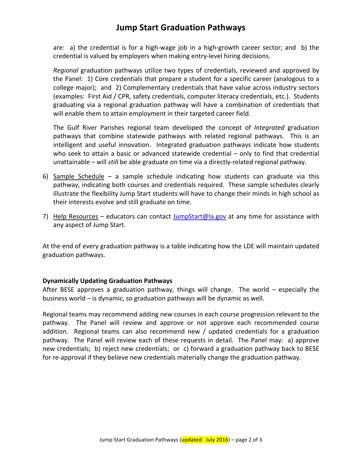### **Jump Start Graduation Pathways**

are: a) the credential is for a high-wage job in a high-growth career sector; and  $\overline{a}$  b) the credential is valued by employers when making entry-level hiring decisions.

*Regional* graduation pathways utilize two types of credentials, reviewed and approved by the Panel: 1) Core credentials that prepare a student for a specific career (analogous to a college major); and 2) Complementary credentials that have value across industry sectors (examples: First Aid / CPR, safety credentials, computer literacy credentials, etc.). Students graduating via a regional graduation pathway will have a combination of credentials that will enable them to attain employment in their targeted career field.

The Gulf River Parishes regional team developed the concept of *Integrated* graduation pathways that combine statewide pathways with related regional pathways. This is an intelligent and useful innovation. Integrated graduation pathways indicate how students who seek to attain a basic or advanced statewide credential  $-$  only to find that credential unattainable – will *still* be able graduate on time via a directly-related regional pathway.

- 6) Sample Schedule a sample schedule indicating how students can graduate via this pathway, indicating both courses and credentials required. These sample schedules clearly illustrate the flexibility Jump Start students will have to change their minds in high school as their interests evolve and still graduate on time.
- 7) Help Resources educators can contact JumpStart@la.gov at any time for assistance with any aspect of Jump Start.

At the end of every graduation pathway is a table indicating how the LDE will maintain updated graduation pathways.

### **Dynamically Updating Graduation Pathways**

After BESE approves a graduation pathway, things will change. The world  $-$  especially the business world  $-$  is dynamic, so graduation pathways will be dynamic as well.

Regional teams may recommend adding new courses in each course progression relevant to the pathway. The Panel will review and approve or not approve each recommended course addition. Regional teams can also recommend new / updated credentials for a graduation pathway. The Panel will review each of these requests in detail. The Panel may: a) approve new credentials; b) reject new credentials; or c) forward a graduation pathway back to BESE for re-approval if they believe new credentials materially change the graduation pathway.